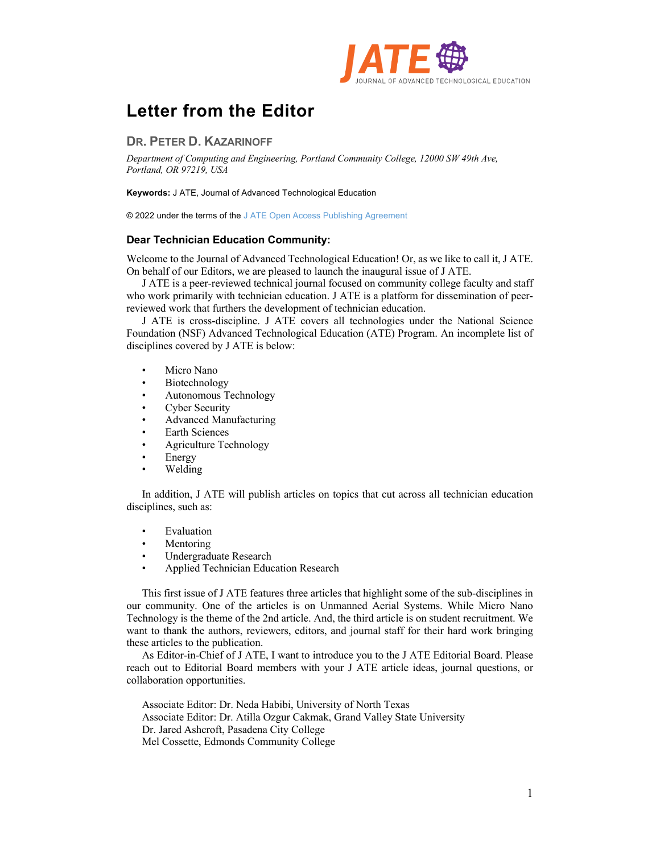

## **Letter from the Editor**

## **DR. PETER D. KAZARINOFF**

*Department of Computing and Engineering, Portland Community College, 12000 SW 49th Ave, Portland, OR 97219, USA*

**Keywords:** J ATE, Journal of Advanced Technological Education

© 2022 under the terms of the J ATE Open Access Publishing Agreement

## **Dear Technician Education Community:**

Welcome to the Journal of Advanced Technological Education! Or, as we like to call it, J ATE. On behalf of our Editors, we are pleased to launch the inaugural issue of J ATE.

J ATE is a peer-reviewed technical journal focused on community college faculty and staff who work primarily with technician education. J ATE is a platform for dissemination of peerreviewed work that furthers the development of technician education.

J ATE is cross-discipline. J ATE covers all technologies under the National Science Foundation (NSF) Advanced Technological Education (ATE) Program. An incomplete list of disciplines covered by J ATE is below:

- Micro Nano
- Biotechnology
- Autonomous Technology
- Cyber Security
- Advanced Manufacturing
- Earth Sciences
- Agriculture Technology
- **Energy**
- Welding

In addition, J ATE will publish articles on topics that cut across all technician education disciplines, such as:

- **Evaluation**
- **Mentoring**
- Undergraduate Research
- Applied Technician Education Research

This first issue of J ATE features three articles that highlight some of the sub-disciplines in our community. One of the articles is on Unmanned Aerial Systems. While Micro Nano Technology is the theme of the 2nd article. And, the third article is on student recruitment. We want to thank the authors, reviewers, editors, and journal staff for their hard work bringing these articles to the publication.

As Editor-in-Chief of J ATE, I want to introduce you to the J ATE Editorial Board. Please reach out to Editorial Board members with your J ATE article ideas, journal questions, or collaboration opportunities.

Associate Editor: Dr. Neda Habibi, University of North Texas Associate Editor: Dr. Atilla Ozgur Cakmak, Grand Valley State University Dr. Jared Ashcroft, Pasadena City College Mel Cossette, Edmonds Community College